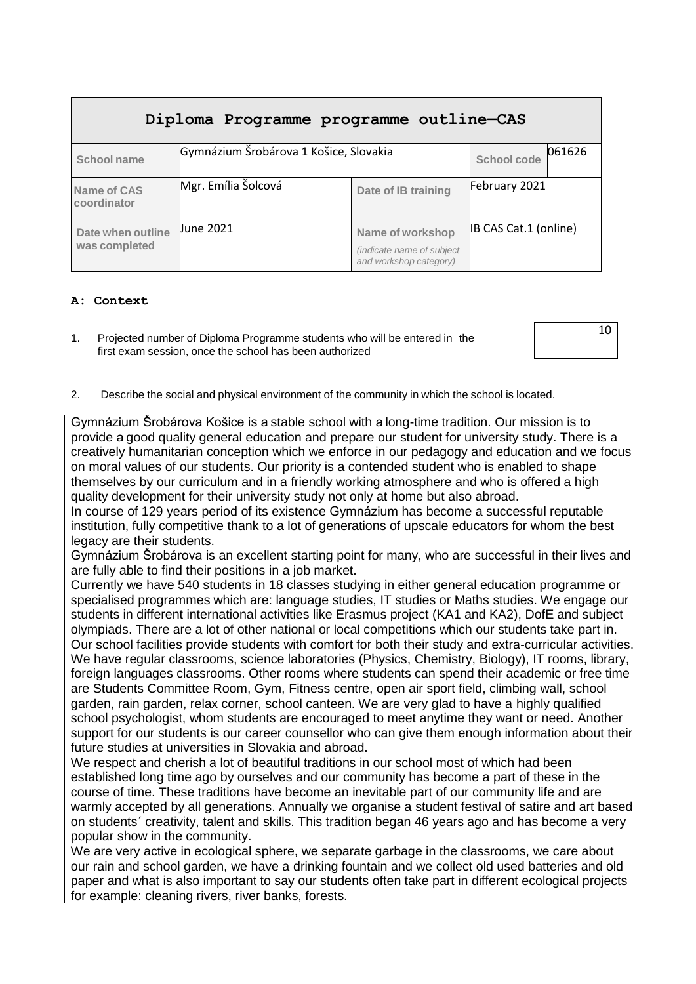| Diploma Programme programme outline-CAS |                                        |                                                                         |                              |        |  |  |  |
|-----------------------------------------|----------------------------------------|-------------------------------------------------------------------------|------------------------------|--------|--|--|--|
| School name                             | Gymnázium Šrobárova 1 Košice, Slovakia |                                                                         | <b>School code</b>           | 061626 |  |  |  |
| Name of CAS<br>coordinator              | Mgr. Emília Šolcová                    | Date of IB training                                                     | February 2021                |        |  |  |  |
| Date when outline<br>was completed      | Uune 2021                              | Name of workshop<br>(indicate name of subject<br>and workshop category) | <b>IB CAS Cat.1 (online)</b> |        |  |  |  |

### **A: Context**

1. Projected number of Diploma Programme students who will be entered in the first exam session, once the school has been authorized

10

2. Describe the social and physical environment of the community in which the school is located.

Gymnázium Šrobárova Košice is a stable school with a long-time tradition. Our mission is to provide a good quality general education and prepare our student for university study. There is a creatively humanitarian conception which we enforce in our pedagogy and education and we focus on moral values of our students. Our priority is a contended student who is enabled to shape themselves by our curriculum and in a friendly working atmosphere and who is offered a high quality development for their university study not only at home but also abroad.

In course of 129 years period of its existence Gymnázium has become a successful reputable institution, fully competitive thank to a lot of generations of upscale educators for whom the best legacy are their students.

Gymnázium Šrobárova is an excellent starting point for many, who are successful in their lives and are fully able to find their positions in a job market.

Currently we have 540 students in 18 classes studying in either general education programme or specialised programmes which are: language studies, IT studies or Maths studies. We engage our students in different international activities like Erasmus project (KA1 and KA2), DofE and subject olympiads. There are a lot of other national or local competitions which our students take part in. Our school facilities provide students with comfort for both their study and extra-curricular activities. We have regular classrooms, science laboratories (Physics, Chemistry, Biology), IT rooms, library, foreign languages classrooms. Other rooms where students can spend their academic or free time are Students Committee Room, Gym, Fitness centre, open air sport field, climbing wall, school garden, rain garden, relax corner, school canteen. We are very glad to have a highly qualified school psychologist, whom students are encouraged to meet anytime they want or need. Another support for our students is our career counsellor who can give them enough information about their future studies at universities in Slovakia and abroad.

We respect and cherish a lot of beautiful traditions in our school most of which had been established long time ago by ourselves and our community has become a part of these in the course of time. These traditions have become an inevitable part of our community life and are warmly accepted by all generations. Annually we organise a student festival of satire and art based on students´ creativity, talent and skills. This tradition began 46 years ago and has become a very popular show in the community.

We are very active in ecological sphere, we separate garbage in the classrooms, we care about our rain and school garden, we have a drinking fountain and we collect old used batteries and old paper and what is also important to say our students often take part in different ecological projects for example: cleaning rivers, river banks, forests.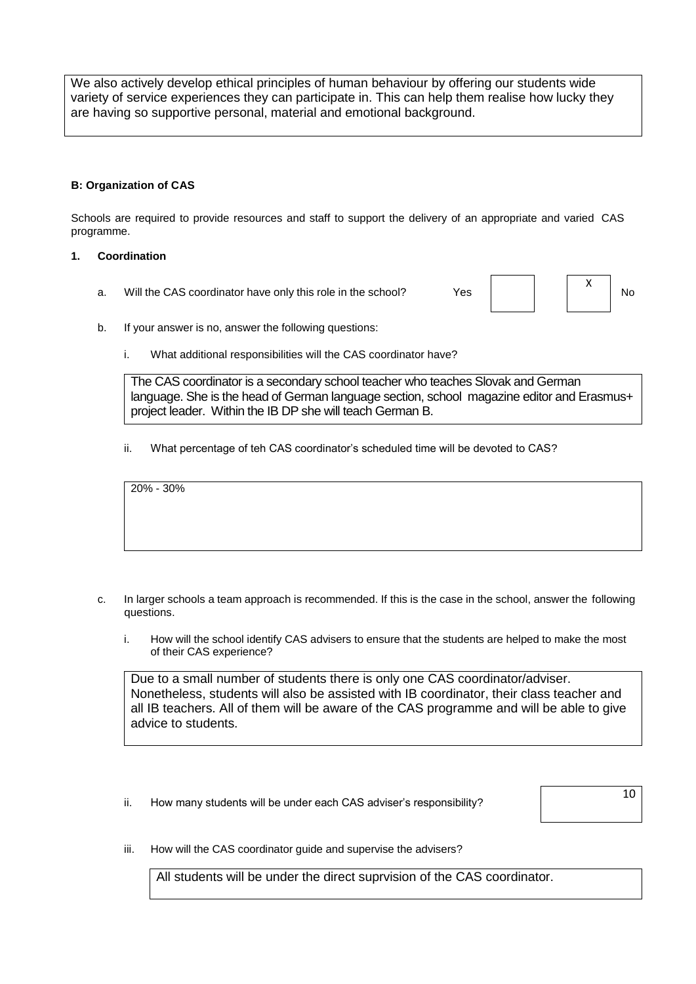We also actively develop ethical principles of human behaviour by offering our students wide variety of service experiences they can participate in. This can help them realise how lucky they are having so supportive personal, material and emotional background.

### **B: Organization of CAS**

Schools are required to provide resources and staff to support the delivery of an appropriate and varied CAS programme.

#### **1. Coordination**

a. Will the CAS coordinator have only this role in the school? Yes  $\overrightarrow{Y}$  No

X

- b. If your answer is no, answer the following questions:
	- i. What additional responsibilities will the CAS coordinator have?

The CAS coordinator is a secondary school teacher who teaches Slovak and German language. She is the head of German language section, school magazine editor and Erasmus+ project leader. Within the IB DP she will teach German B.

ii. What percentage of teh CAS coordinator's scheduled time will be devoted to CAS?

20% - 30%

- c. In larger schools a team approach is recommended. If this is the case in the school, answer the following questions.
	- i. How will the school identify CAS advisers to ensure that the students are helped to make the most of their CAS experience?

Due to a small number of students there is only one CAS coordinator/adviser. Nonetheless, students will also be assisted with IB coordinator, their class teacher and all IB teachers. All of them will be aware of the CAS programme and will be able to give advice to students.

ii. How many students will be under each CAS adviser's responsibility?

10

iii. How will the CAS coordinator guide and supervise the advisers?

All students will be under the direct suprvision of the CAS coordinator.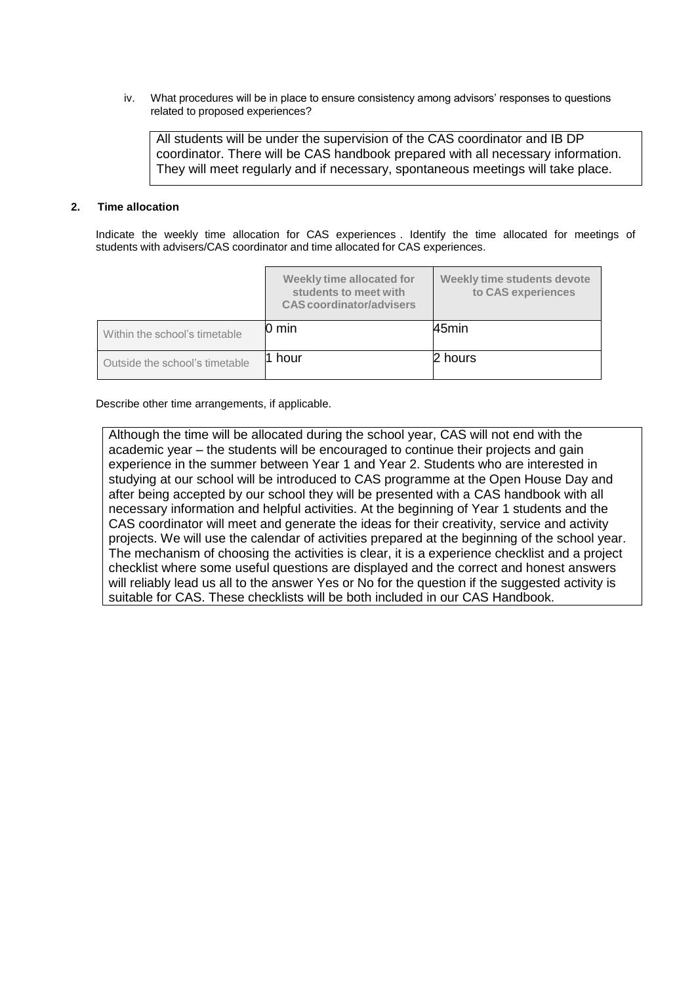iv. What procedures will be in place to ensure consistency among advisors' responses to questions related to proposed experiences?

All students will be under the supervision of the CAS coordinator and IB DP coordinator. There will be CAS handbook prepared with all necessary information. They will meet regularly and if necessary, spontaneous meetings will take place.

#### **2. Time allocation**

Indicate the weekly time allocation for CAS experiences . Identify the time allocated for meetings of students with advisers/CAS coordinator and time allocated for CAS experiences.

|                                | Weekly time allocated for<br>students to meet with<br><b>CAS</b> coordinator/advisers | Weekly time students devote<br>to CAS experiences |
|--------------------------------|---------------------------------------------------------------------------------------|---------------------------------------------------|
| Within the school's timetable  | $0 \text{ min}$                                                                       | 45min                                             |
| Outside the school's timetable | hour                                                                                  | 2 hours                                           |

Describe other time arrangements, if applicable.

Although the time will be allocated during the school year, CAS will not end with the academic year – the students will be encouraged to continue their projects and gain experience in the summer between Year 1 and Year 2. Students who are interested in studying at our school will be introduced to CAS programme at the Open House Day and after being accepted by our school they will be presented with a CAS handbook with all necessary information and helpful activities. At the beginning of Year 1 students and the CAS coordinator will meet and generate the ideas for their creativity, service and activity projects. We will use the calendar of activities prepared at the beginning of the school year. The mechanism of choosing the activities is clear, it is a experience checklist and a project checklist where some useful questions are displayed and the correct and honest answers will reliably lead us all to the answer Yes or No for the question if the suggested activity is suitable for CAS. These checklists will be both included in our CAS Handbook.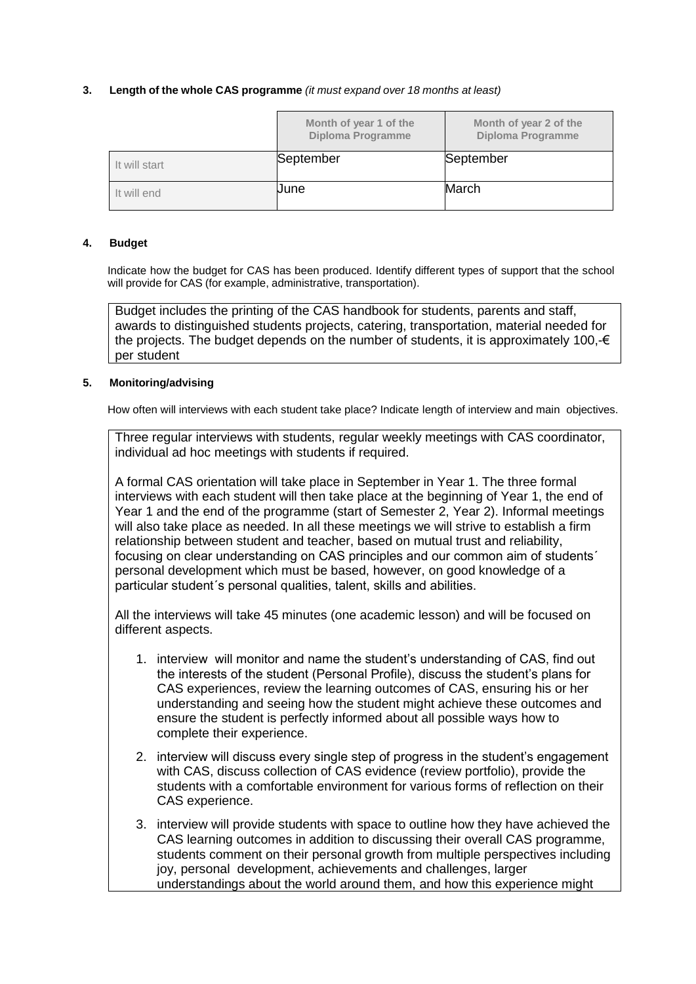### **3. Length of the whole CAS programme** *(it must expand over 18 months at least)*

|               | Month of year 1 of the<br>Diploma Programme | Month of year 2 of the<br><b>Diploma Programme</b> |
|---------------|---------------------------------------------|----------------------------------------------------|
| It will start | September                                   | September                                          |
| It will end   | <b>Uune</b>                                 | March                                              |

#### **4. Budget**

Indicate how the budget for CAS has been produced. Identify different types of support that the school will provide for CAS (for example, administrative, transportation).

Budget includes the printing of the CAS handbook for students, parents and staff, awards to distinguished students projects, catering, transportation, material needed for the projects. The budget depends on the number of students, it is approximately 100, $\epsilon$ per student

### **5. Monitoring/advising**

How often will interviews with each student take place? Indicate length of interview and main objectives.

Three regular interviews with students, regular weekly meetings with CAS coordinator, individual ad hoc meetings with students if required.

A formal CAS orientation will take place in September in Year 1. The three formal interviews with each student will then take place at the beginning of Year 1, the end of Year 1 and the end of the programme (start of Semester 2, Year 2). Informal meetings will also take place as needed. In all these meetings we will strive to establish a firm relationship between student and teacher, based on mutual trust and reliability, focusing on clear understanding on CAS principles and our common aim of students´ personal development which must be based, however, on good knowledge of a particular student´s personal qualities, talent, skills and abilities.

All the interviews will take 45 minutes (one academic lesson) and will be focused on different aspects.

- 1. interview will monitor and name the student's understanding of CAS, find out the interests of the student (Personal Profile), discuss the student's plans for CAS experiences, review the learning outcomes of CAS, ensuring his or her understanding and seeing how the student might achieve these outcomes and ensure the student is perfectly informed about all possible ways how to complete their experience.
- 2. interview will discuss every single step of progress in the student's engagement with CAS, discuss collection of CAS evidence (review portfolio), provide the students with a comfortable environment for various forms of reflection on their CAS experience.
- 3. interview will provide students with space to outline how they have achieved the CAS learning outcomes in addition to discussing their overall CAS programme, students comment on their personal growth from multiple perspectives including joy, personal development, achievements and challenges, larger understandings about the world around them, and how this experience might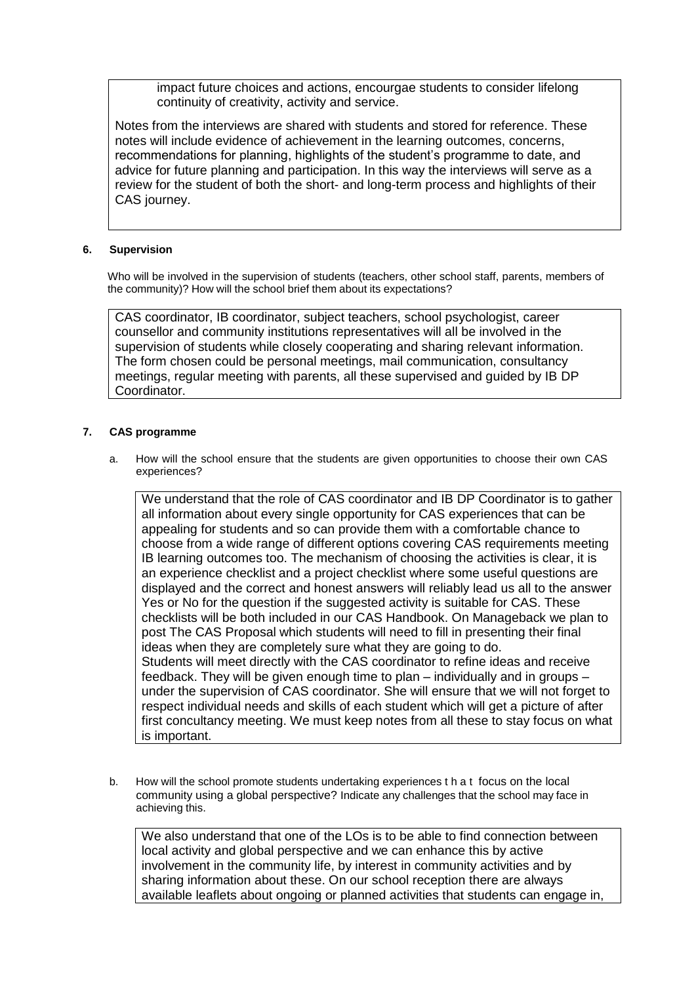impact future choices and actions, encourgae students to consider lifelong continuity of creativity, activity and service.

Notes from the interviews are shared with students and stored for reference. These notes will include evidence of achievement in the learning outcomes, concerns, recommendations for planning, highlights of the student's programme to date, and advice for future planning and participation. In this way the interviews will serve as a review for the student of both the short- and long-term process and highlights of their CAS journey.

### **6. Supervision**

Who will be involved in the supervision of students (teachers, other school staff, parents, members of the community)? How will the school brief them about its expectations?

CAS coordinator, IB coordinator, subject teachers, school psychologist, career counsellor and community institutions representatives will all be involved in the supervision of students while closely cooperating and sharing relevant information. The form chosen could be personal meetings, mail communication, consultancy meetings, regular meeting with parents, all these supervised and guided by IB DP Coordinator.

### **7. CAS programme**

a. How will the school ensure that the students are given opportunities to choose their own CAS experiences?

We understand that the role of CAS coordinator and IB DP Coordinator is to gather all information about every single opportunity for CAS experiences that can be appealing for students and so can provide them with a comfortable chance to choose from a wide range of different options covering CAS requirements meeting IB learning outcomes too. The mechanism of choosing the activities is clear, it is an experience checklist and a project checklist where some useful questions are displayed and the correct and honest answers will reliably lead us all to the answer Yes or No for the question if the suggested activity is suitable for CAS. These checklists will be both included in our CAS Handbook. On Manageback we plan to post The CAS Proposal which students will need to fill in presenting their final ideas when they are completely sure what they are going to do. Students will meet directly with the CAS coordinator to refine ideas and receive feedback. They will be given enough time to plan – individually and in groups – under the supervision of CAS coordinator. She will ensure that we will not forget to respect individual needs and skills of each student which will get a picture of after first concultancy meeting. We must keep notes from all these to stay focus on what is important.

b. How will the school promote students undertaking experiences t h a t focus on the local community using a global perspective? Indicate any challenges that the school may face in achieving this.

We also understand that one of the LOs is to be able to find connection between local activity and global perspective and we can enhance this by active involvement in the community life, by interest in community activities and by sharing information about these. On our school reception there are always available leaflets about ongoing or planned activities that students can engage in,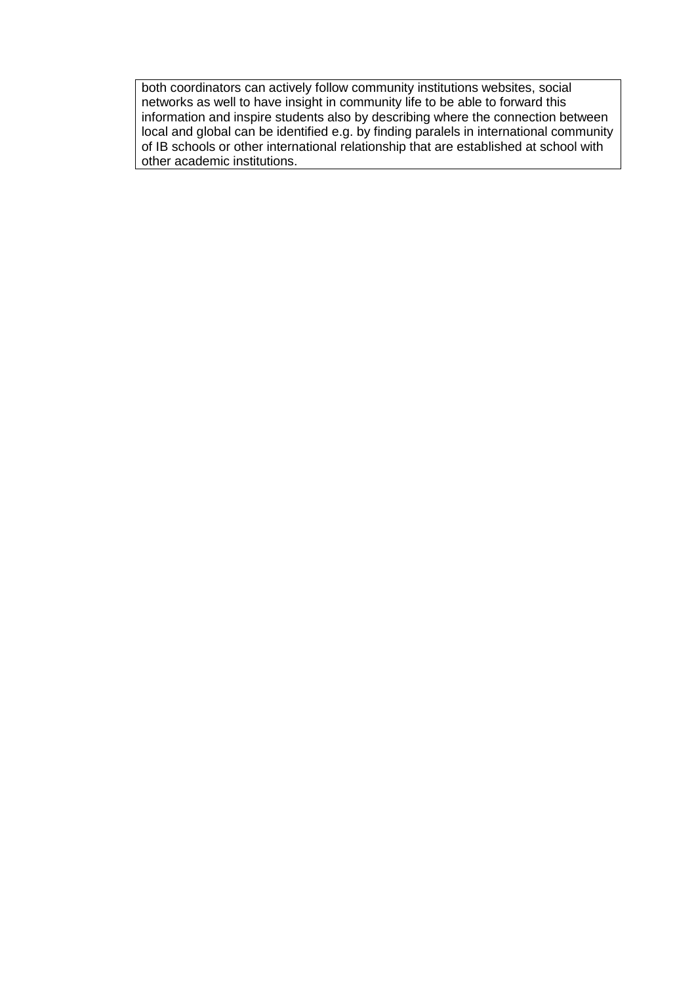both coordinators can actively follow community institutions websites, social networks as well to have insight in community life to be able to forward this information and inspire students also by describing where the connection between local and global can be identified e.g. by finding paralels in international community of IB schools or other international relationship that are established at school with other academic institutions.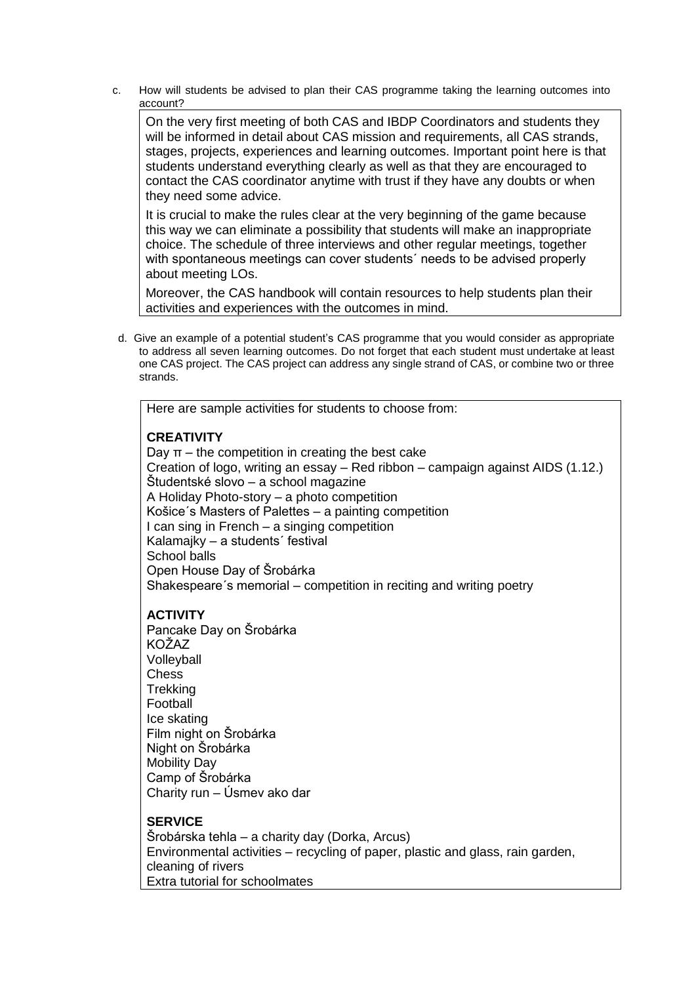c. How will students be advised to plan their CAS programme taking the learning outcomes into account?

**2.** On the very first meeting of both CAS and IBDP Coordinators and students they will be informed in detail about CAS mission and requirements, all CAS strands, stages, projects, experiences and learning outcomes. Important point here is that students understand everything clearly as well as that they are encouraged to contact the CAS coordinator anytime with trust if they have any doubts or when they need some advice.

**3.** It is crucial to make the rules clear at the very beginning of the game because this way we can eliminate a possibility that students will make an inappropriate choice. The schedule of three interviews and other regular meetings, together with spontaneous meetings can cover students´ needs to be advised properly about meeting LOs.

**4.** Moreover, the CAS handbook will contain resources to help students plan their activities and experiences with the outcomes in mind.

d. Give an example of a potential student's CAS programme that you would consider as appropriate to address all seven learning outcomes. Do not forget that each student must undertake at least one CAS project. The CAS project can address any single strand of CAS, or combine two or three strands.

Here are sample activities for students to choose from:

# **CREATIVITY**

Day  $π$  – the competition in creating the best cake Creation of logo, writing an essay – Red ribbon – campaign against AIDS (1.12.) Študentské slovo – a school magazine A Holiday Photo-story – a photo competition Košice´s Masters of Palettes – a painting competition I can sing in French – a singing competition Kalamajky – a students´ festival School balls Open House Day of Šrobárka Shakespeare´s memorial – competition in reciting and writing poetry

## **ACTIVITY**

Pancake Day on Šrobárka KOŽAZ Volleyball **Chess Trekking** Football Ice skating Film night on Šrobárka Night on Šrobárka Mobility Day Camp of Šrobárka Charity run – Úsmev ako dar

## **SERVICE**

Šrobárska tehla – a charity day (Dorka, Arcus) Environmental activities – recycling of paper, plastic and glass, rain garden, cleaning of rivers Extra tutorial for schoolmates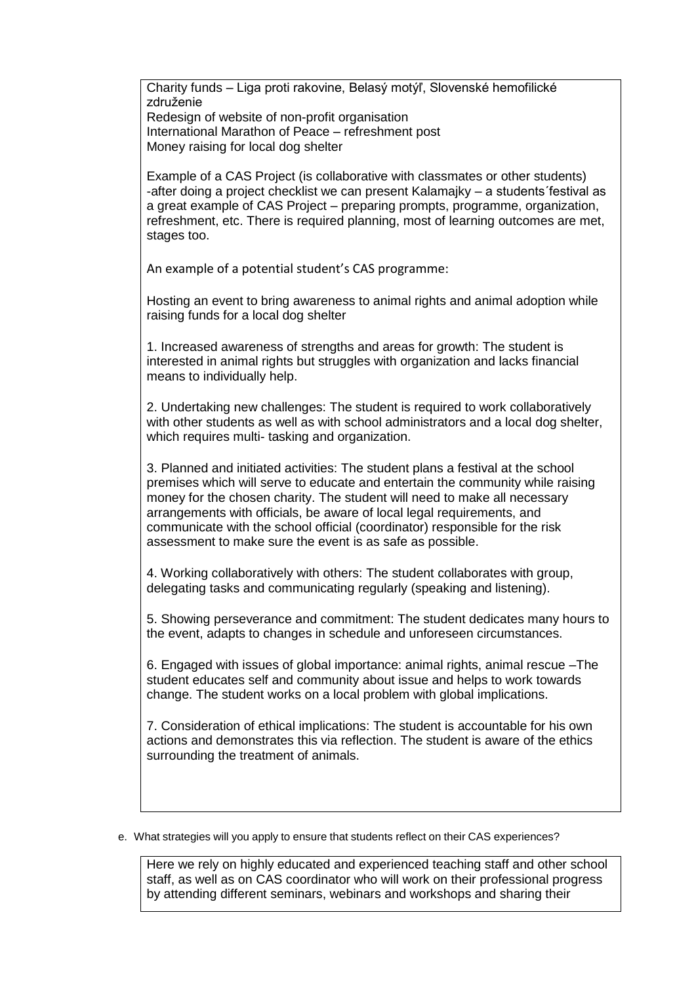Charity funds – Liga proti rakovine, Belasý motýľ, Slovenské hemofilické združenie

Redesign of website of non-profit organisation International Marathon of Peace – refreshment post Money raising for local dog shelter

Example of a CAS Project (is collaborative with classmates or other students) -after doing a project checklist we can present Kalamajky – a students´festival as a great example of CAS Project – preparing prompts, programme, organization, refreshment, etc. There is required planning, most of learning outcomes are met, stages too.

An example of a potential student's CAS programme:

Hosting an event to bring awareness to animal rights and animal adoption while raising funds for a local dog shelter

1. Increased awareness of strengths and areas for growth: The student is interested in animal rights but struggles with organization and lacks financial means to individually help.

2. Undertaking new challenges: The student is required to work collaboratively with other students as well as with school administrators and a local dog shelter, which requires multi- tasking and organization.

3. Planned and initiated activities: The student plans a festival at the school premises which will serve to educate and entertain the community while raising money for the chosen charity. The student will need to make all necessary arrangements with officials, be aware of local legal requirements, and communicate with the school official (coordinator) responsible for the risk assessment to make sure the event is as safe as possible.

4. Working collaboratively with others: The student collaborates with group, delegating tasks and communicating regularly (speaking and listening).

5. Showing perseverance and commitment: The student dedicates many hours to the event, adapts to changes in schedule and unforeseen circumstances.

6. Engaged with issues of global importance: animal rights, animal rescue –The student educates self and community about issue and helps to work towards change. The student works on a local problem with global implications.

7. Consideration of ethical implications: The student is accountable for his own actions and demonstrates this via reflection. The student is aware of the ethics surrounding the treatment of animals.

e. What strategies will you apply to ensure that students reflect on their CAS experiences?

Here we rely on highly educated and experienced teaching staff and other school staff, as well as on CAS coordinator who will work on their professional progress by attending different seminars, webinars and workshops and sharing their